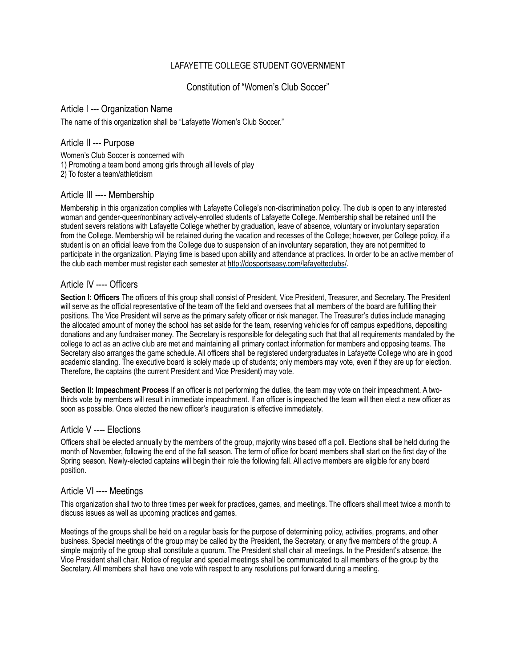# LAFAYETTE COLLEGE STUDENT GOVERNMENT

# Constitution of "Women's Club Soccer"

#### Article I --- Organization Name

The name of this organization shall be "Lafayette Women's Club Soccer."

# Article II --- Purpose

Women's Club Soccer is concerned with 1) Promoting a team bond among girls through all levels of play 2) To foster a team/athleticism

### Article III ---- Membership

Membership in this organization complies with Lafayette College's non-discrimination policy. The club is open to any interested woman and gender-queer/nonbinary actively-enrolled students of Lafayette College. Membership shall be retained until the student severs relations with Lafayette College whether by graduation, leave of absence, voluntary or involuntary separation from the College. Membership will be retained during the vacation and recesses of the College; however, per College policy, if a student is on an official leave from the College due to suspension of an involuntary separation, they are not permitted to participate in the organization. Playing time is based upon ability and attendance at practices. In order to be an active member of the club each member must register each semester at<http://dosportseasy.com/lafayetteclubs/>.

### Article IV ---- Officers

**Section I: Officers** The officers of this group shall consist of President, Vice President, Treasurer, and Secretary. The President will serve as the official representative of the team off the field and oversees that all members of the board are fulfilling their positions. The Vice President will serve as the primary safety officer or risk manager. The Treasurer's duties include managing the allocated amount of money the school has set aside for the team, reserving vehicles for off campus expeditions, depositing donations and any fundraiser money. The Secretary is responsible for delegating such that that all requirements mandated by the college to act as an active club are met and maintaining all primary contact information for members and opposing teams. The Secretary also arranges the game schedule. All officers shall be registered undergraduates in Lafayette College who are in good academic standing. The executive board is solely made up of students; only members may vote, even if they are up for election. Therefore, the captains (the current President and Vice President) may vote.

**Section II: Impeachment Process** If an officer is not performing the duties, the team may vote on their impeachment. A twothirds vote by members will result in immediate impeachment. If an officer is impeached the team will then elect a new officer as soon as possible. Once elected the new officer's inauguration is effective immediately.

### Article V ---- Elections

Officers shall be elected annually by the members of the group, majority wins based off a poll. Elections shall be held during the month of November, following the end of the fall season. The term of office for board members shall start on the first day of the Spring season. Newly-elected captains will begin their role the following fall. All active members are eligible for any board position.

### Article VI ---- Meetings

This organization shall two to three times per week for practices, games, and meetings. The officers shall meet twice a month to discuss issues as well as upcoming practices and games.

Meetings of the groups shall be held on a regular basis for the purpose of determining policy, activities, programs, and other business. Special meetings of the group may be called by the President, the Secretary, or any five members of the group. A simple majority of the group shall constitute a quorum. The President shall chair all meetings. In the President's absence, the Vice President shall chair. Notice of regular and special meetings shall be communicated to all members of the group by the Secretary. All members shall have one vote with respect to any resolutions put forward during a meeting.